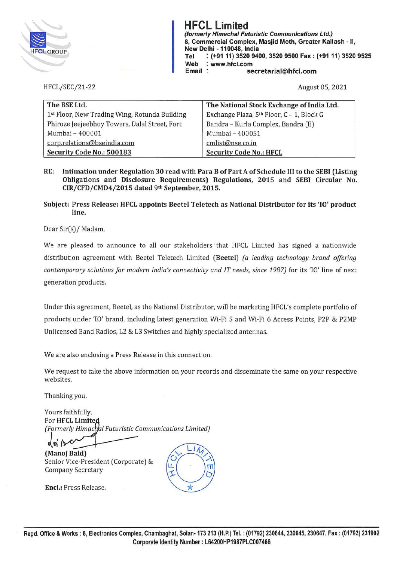

**HFCL Limited (formerly Himachal Futuristic Communications Ltd.) 8, Commercial Complex, Masjid Moth, Greater Kailash** - II, **New Delhi** - **110048, India Tel** : **(+91 11) 3520 9400, 3520 9500 Fax: (+91 11) 3520 9525 Web** : **www.hfcl.com Email secretarial@hfcl.com** 

HFCL/SEC/21-22

August 05, 2021

| The BSE Ltd.                                  | The National Stock Exchange of India Ltd. |
|-----------------------------------------------|-------------------------------------------|
| 1st Floor, New Trading Wing, Rotunda Building | Exchange Plaza, 5th Floor, C - 1, Block G |
| Phiroze Jeejeebhoy Towers, Dalal Street, Fort | Bandra - Kurla Complex, Bandra (E)        |
| Mumbai - 400001                               | Mumbai - 400051                           |
| corp.relations@bseindia.com                   | cmlist@nse.co.in                          |
| Security Code No.: 500183                     | <b>Security Code No.: HFCL</b>            |

**RE: Intimation under Regulation 30 read with Para B of Part A of Schedule** III **to the SEBI (Listing Obligations and Disclosure Requirements) Regulations, 2015 and SEBI Circular No. CIR/CFD/CMD4/2015 dated 9th September, 2015.** 

## **Subject: Press Release: HFCL appoints Beetel Teletech as National Distributor for its** 'IO' **product line.**

Dear Sir(s)/ Madam,

We are pleased to announce to all our stakeholders that HFCL Limited has signed a nationwide distribution agreement with Beetel Teletech Limited **(Beetel)** *(a leading technology brand offering contemporary solutions for modern India's connectivity and IT needs, since 1987)* for its 'IO' line of next generation products.

Under this agreement, Beetel, as the National Distributor, will be marketing HFCL's complete portfolio of products under 'IO' brand, including latest generation Wi-Fi 5 and Wi-Fi 6 Access Points, P2P & P2MP Unlicensed Band Radios, L2 & L3 Switches and highly specialized antennas.

We are also enclosing a Press Release in this connection.

We request to take the above information on your records and disseminate the same on your respective websites.

Thanking you.

Yours faithfully, For **HFCL Limite**  *(Formerly Him(lc* I *Futuristic Communications Limited)* 

*J1'*  **(Manoj Baid)**  Senior Vice-President (Corporate) & Company Secretary

**Encl.:** Press Release.

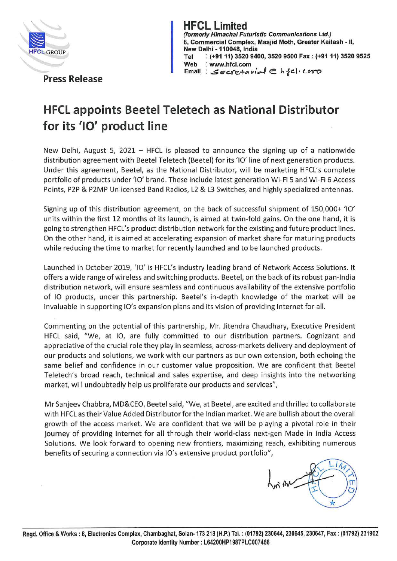

**HFCL Limited**<br>(formerly Himachal Futuristic Communications Ltd.) HFCL Limited<br>
(formerly Himachal Futuristic Communications Ltd.)<br>
8, Commercial Complex, Masjid Moth, Greater Kail **8, Commercial Complex, Masjid Moth, Greater Kailash** - **11, New Delhi - 110048, India**<br>Tel (+91 11) 3520 940 **Tel** : **(+91 11) 3520 9400, 3520 9500 Fax: (+91 11) 3520 9525 Web** : **www.hfcl.com**  Email: Secretarial **C**  $h$ <sub>f</sub>c1.coro

**Press Release** 

## **HFCL appoints Beetel Teletech as National Distributor for its '10' product line**

New Delhi, August 5, 2021 - HFCL is pleased to announce the signing up of a nationwide distribution agreement with Beetel Teletech (Beetel) for its '10' line of next generation products. Under this agreement, Beetel, as the National Distributor, will be marketing HFCL's complete portfolio of products under '10' brand. These include latest generation Wi-Fi 5 and Wi-Fi 6 Access Points, P2P & P2MP Unlicensed Band Radios, L2 & L3 Switches, and highly specialized antennas.

Signing up of this distribution agreement, on the back of successful shipment of 150,000+ '10' units within the first 12 months of its launch, is aimed at twin-fold gains. On the one hand, it is going to strengthen HFCL's product distribution network for the existing and future product lines. On the other hand, it is aimed at accelerating expansion of market share for maturing products while reducing the time to market for recently launched and to be launched products.

Launched in October 2019, '10' is HFCL's industry leading brand of Network Access Solutions. It offers a wide range of wireless and switching products. Beetel, on the back of its robust pan-India distribution network, will ensure seamless and continuous availability of the extensive portfolio of 10 products, under this partnership. Beetel's in-depth knowledge of the market will be invaluable in supporting IO's expansion plans and its vision of providing Internet for all.

Commenting on the potential of this partnership, Mr. Jitendra Chaudhary, Executive President HFCL said, "We, at 10, are fully committed to our distribution partners. Cognizant and appreciative of the crucial role they play in seamless, across-markets delivery and deployment of our products and solutions, we work with our partners as our own extension, both echoing the same belief and confidence in our customer value proposition. We are confident that Beetel Teletech's broad reach, technical and sales expertise, and deep insights into the networking market, will undoubtedly help us proliferate our products and services",

Mr Sanjeev Chabbra, MD&CEO, Beetel said, "We, at Beetel, are excited and thrilled to collaborate with HFCL as their Value Added Distributor for the Indian market. We are bullish about the overall growth of the access market. We are confident that we will be playing a pivotal role in their journey of providing Internet for all through their world-class next-gen Made in India Access Solutions. We look forward to opening new frontiers, maximizing reach, exhibiting numerous benefits of securing a connection via IO's extensive product portfolio",

yu, π